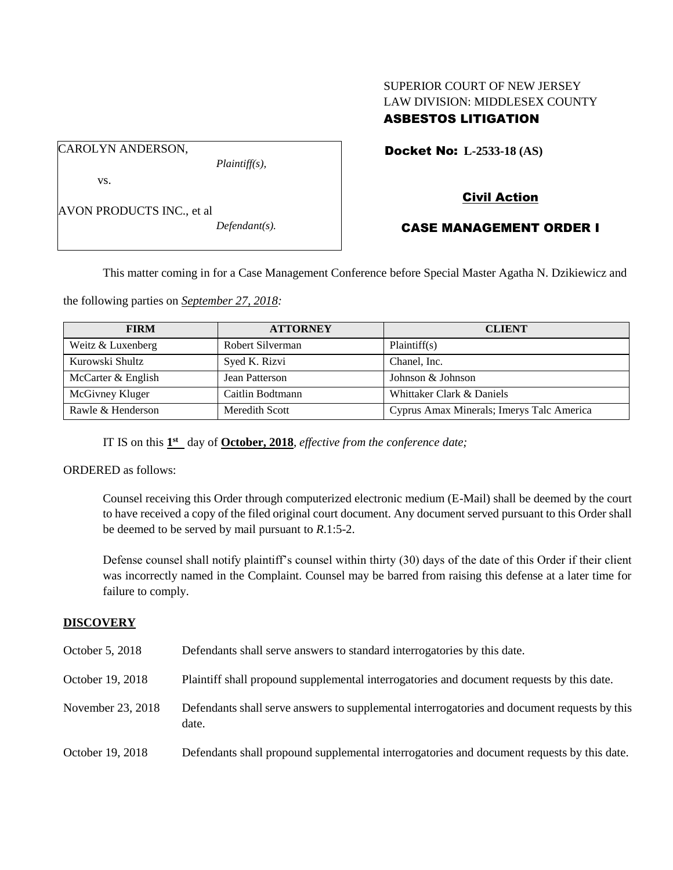## SUPERIOR COURT OF NEW JERSEY LAW DIVISION: MIDDLESEX COUNTY ASBESTOS LITIGATION

Docket No: **L-2533-18 (AS)** 

vs.

CAROLYN ANDERSON,

AVON PRODUCTS INC., et al

*Defendant(s).*

*Plaintiff(s),*

# Civil Action

## CASE MANAGEMENT ORDER I

This matter coming in for a Case Management Conference before Special Master Agatha N. Dzikiewicz and

the following parties on *September 27, 2018:*

| <b>FIRM</b>        | <b>ATTORNEY</b>  | <b>CLIENT</b>                             |
|--------------------|------------------|-------------------------------------------|
| Weitz & Luxenberg  | Robert Silverman | Plaintiff(s)                              |
| Kurowski Shultz    | Syed K. Rizvi    | Chanel, Inc.                              |
| McCarter & English | Jean Patterson   | Johnson & Johnson                         |
| McGivney Kluger    | Caitlin Bodtmann | Whittaker Clark & Daniels                 |
| Rawle & Henderson  | Meredith Scott   | Cyprus Amax Minerals; Imerys Talc America |

IT IS on this  $1<sup>st</sup>$  day of **October, 2018**, *effective from the conference date*;

ORDERED as follows:

Counsel receiving this Order through computerized electronic medium (E-Mail) shall be deemed by the court to have received a copy of the filed original court document. Any document served pursuant to this Order shall be deemed to be served by mail pursuant to *R*.1:5-2.

Defense counsel shall notify plaintiff's counsel within thirty (30) days of the date of this Order if their client was incorrectly named in the Complaint. Counsel may be barred from raising this defense at a later time for failure to comply.

#### **DISCOVERY**

| October 5, 2018   | Defendants shall serve answers to standard interrogatories by this date.                              |
|-------------------|-------------------------------------------------------------------------------------------------------|
| October 19, 2018  | Plaintiff shall propound supplemental interrogatories and document requests by this date.             |
| November 23, 2018 | Defendants shall serve answers to supplemental interrogatories and document requests by this<br>date. |
| October 19, 2018  | Defendants shall propound supplemental interrogatories and document requests by this date.            |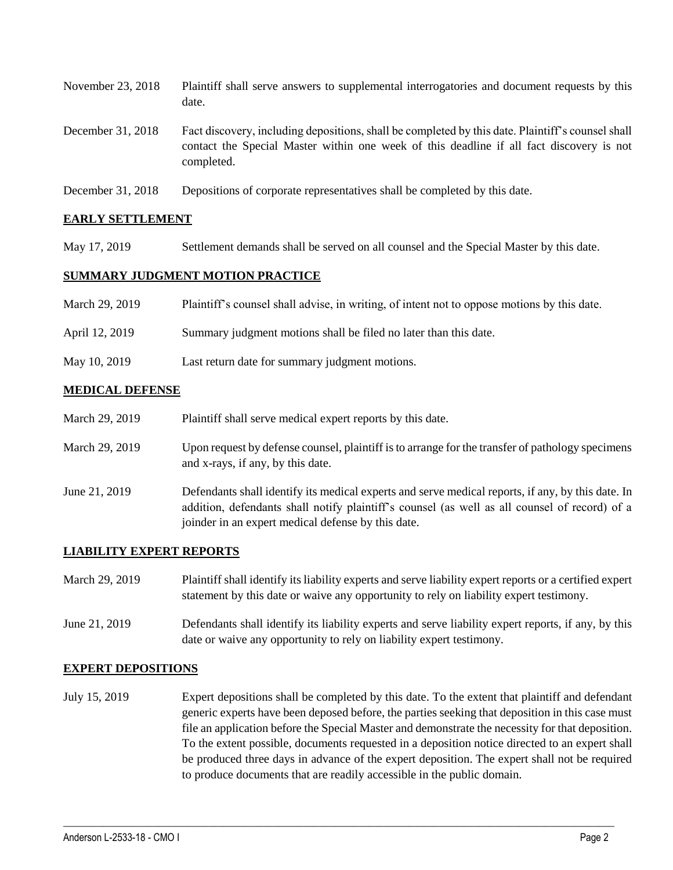| November 23, 2018 | Plaintiff shall serve answers to supplemental interrogatories and document requests by this<br>date.                                                                                                        |
|-------------------|-------------------------------------------------------------------------------------------------------------------------------------------------------------------------------------------------------------|
| December 31, 2018 | Fact discovery, including depositions, shall be completed by this date. Plaintiff's counsel shall<br>contact the Special Master within one week of this deadline if all fact discovery is not<br>completed. |
| December 31, 2018 | Depositions of corporate representatives shall be completed by this date.                                                                                                                                   |

#### **EARLY SETTLEMENT**

May 17, 2019 Settlement demands shall be served on all counsel and the Special Master by this date.

#### **SUMMARY JUDGMENT MOTION PRACTICE**

| March 29, 2019 | Plaintiff's counsel shall advise, in writing, of intent not to oppose motions by this date. |
|----------------|---------------------------------------------------------------------------------------------|
| April 12, 2019 | Summary judgment motions shall be filed no later than this date.                            |
| May 10, 2019   | Last return date for summary judgment motions.                                              |

#### **MEDICAL DEFENSE**

| March 29, 2019 | Plaintiff shall serve medical expert reports by this date.                                                                                                                                                                                               |
|----------------|----------------------------------------------------------------------------------------------------------------------------------------------------------------------------------------------------------------------------------------------------------|
| March 29, 2019 | Upon request by defense counsel, plaintiff is to arrange for the transfer of pathology specimens<br>and x-rays, if any, by this date.                                                                                                                    |
| June 21, 2019  | Defendants shall identify its medical experts and serve medical reports, if any, by this date. In<br>addition, defendants shall notify plaintiff's counsel (as well as all counsel of record) of a<br>joinder in an expert medical defense by this date. |

#### **LIABILITY EXPERT REPORTS**

| March 29, 2019 | Plaintiff shall identify its liability experts and serve liability expert reports or a certified expert<br>statement by this date or waive any opportunity to rely on liability expert testimony. |
|----------------|---------------------------------------------------------------------------------------------------------------------------------------------------------------------------------------------------|
| June 21, 2019  | Defendants shall identify its liability experts and serve liability expert reports, if any, by this<br>date or waive any opportunity to rely on liability expert testimony.                       |

#### **EXPERT DEPOSITIONS**

July 15, 2019 Expert depositions shall be completed by this date. To the extent that plaintiff and defendant generic experts have been deposed before, the parties seeking that deposition in this case must file an application before the Special Master and demonstrate the necessity for that deposition. To the extent possible, documents requested in a deposition notice directed to an expert shall be produced three days in advance of the expert deposition. The expert shall not be required to produce documents that are readily accessible in the public domain.

 $\_$  ,  $\_$  ,  $\_$  ,  $\_$  ,  $\_$  ,  $\_$  ,  $\_$  ,  $\_$  ,  $\_$  ,  $\_$  ,  $\_$  ,  $\_$  ,  $\_$  ,  $\_$  ,  $\_$  ,  $\_$  ,  $\_$  ,  $\_$  ,  $\_$  ,  $\_$  ,  $\_$  ,  $\_$  ,  $\_$  ,  $\_$  ,  $\_$  ,  $\_$  ,  $\_$  ,  $\_$  ,  $\_$  ,  $\_$  ,  $\_$  ,  $\_$  ,  $\_$  ,  $\_$  ,  $\_$  ,  $\_$  ,  $\_$  ,